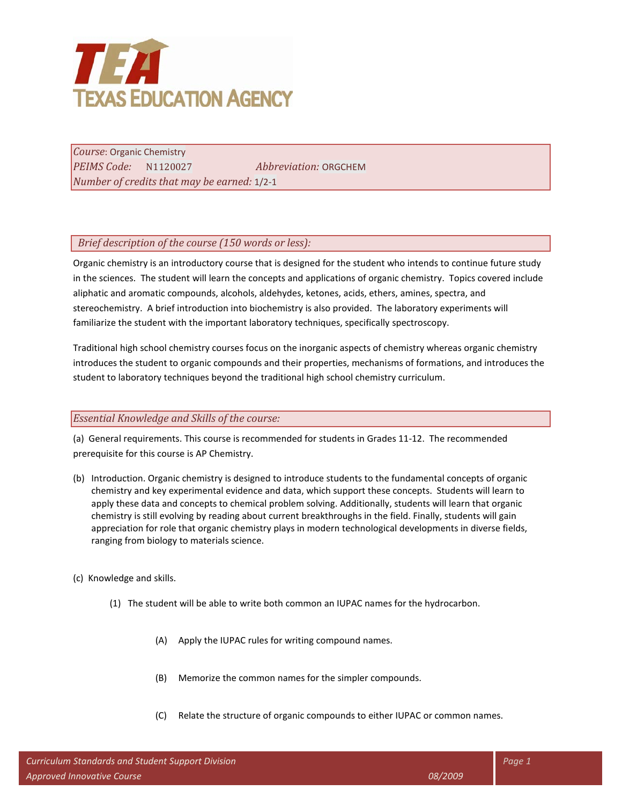

*Course*: Organic Chemistry *PEIMS Code:* N1120027 *Abbreviation:* ORGCHEM *Number of credits that may be earned:* 1/2-1

 *Brief description of the course (150 words or less):*

Organic chemistry is an introductory course that is designed for the student who intends to continue future study in the sciences. The student will learn the concepts and applications of organic chemistry. Topics covered include aliphatic and aromatic compounds, alcohols, aldehydes, ketones, acids, ethers, amines, spectra, and stereochemistry. A brief introduction into biochemistry is also provided. The laboratory experiments will familiarize the student with the important laboratory techniques, specifically spectroscopy.

Traditional high school chemistry courses focus on the inorganic aspects of chemistry whereas organic chemistry introduces the student to organic compounds and their properties, mechanisms of formations, and introduces the student to laboratory techniques beyond the traditional high school chemistry curriculum.

## *Essential Knowledge and Skills of the course:*

(a) General requirements. This course is recommended for students in Grades 11-12. The recommended prerequisite for this course is AP Chemistry.

- (b) Introduction. Organic chemistry is designed to introduce students to the fundamental concepts of organic chemistry and key experimental evidence and data, which support these concepts. Students will learn to apply these data and concepts to chemical problem solving. Additionally, students will learn that organic chemistry is still evolving by reading about current breakthroughs in the field. Finally, students will gain appreciation for role that organic chemistry plays in modern technological developments in diverse fields, ranging from biology to materials science.
- (c) Knowledge and skills.
	- (1) The student will be able to write both common an IUPAC names for the hydrocarbon.
		- (A) Apply the IUPAC rules for writing compound names.
		- (B) Memorize the common names for the simpler compounds.
		- (C) Relate the structure of organic compounds to either IUPAC or common names.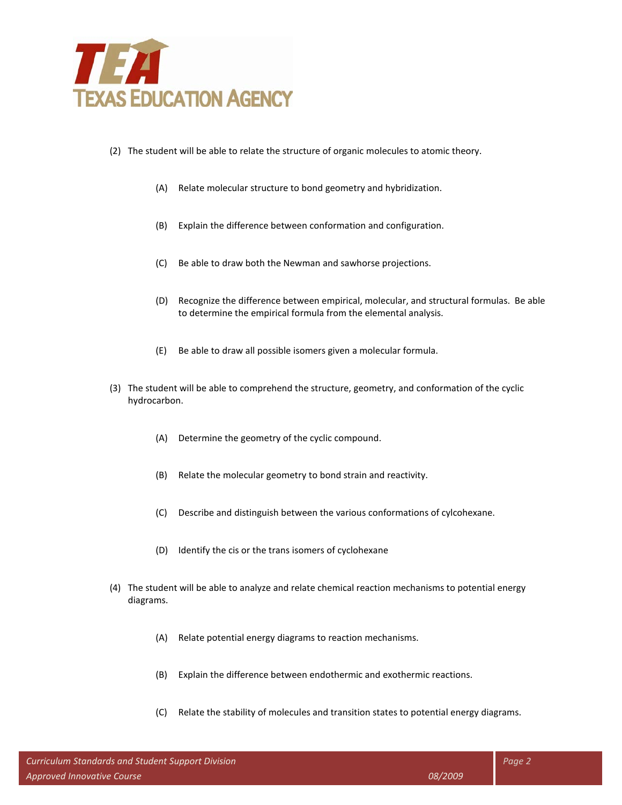

- (2) The student will be able to relate the structure of organic molecules to atomic theory.
	- (A) Relate molecular structure to bond geometry and hybridization.
	- (B) Explain the difference between conformation and configuration.
	- (C) Be able to draw both the Newman and sawhorse projections.
	- (D) Recognize the difference between empirical, molecular, and structural formulas. Be able to determine the empirical formula from the elemental analysis.
	- (E) Be able to draw all possible isomers given a molecular formula.
- (3) The student will be able to comprehend the structure, geometry, and conformation of the cyclic hydrocarbon.
	- (A) Determine the geometry of the cyclic compound.
	- (B) Relate the molecular geometry to bond strain and reactivity.
	- (C) Describe and distinguish between the various conformations of cylcohexane.
	- (D) Identify the cis or the trans isomers of cyclohexane
- (4) The student will be able to analyze and relate chemical reaction mechanisms to potential energy diagrams.
	- (A) Relate potential energy diagrams to reaction mechanisms.
	- (B) Explain the difference between endothermic and exothermic reactions.
	- (C) Relate the stability of molecules and transition states to potential energy diagrams.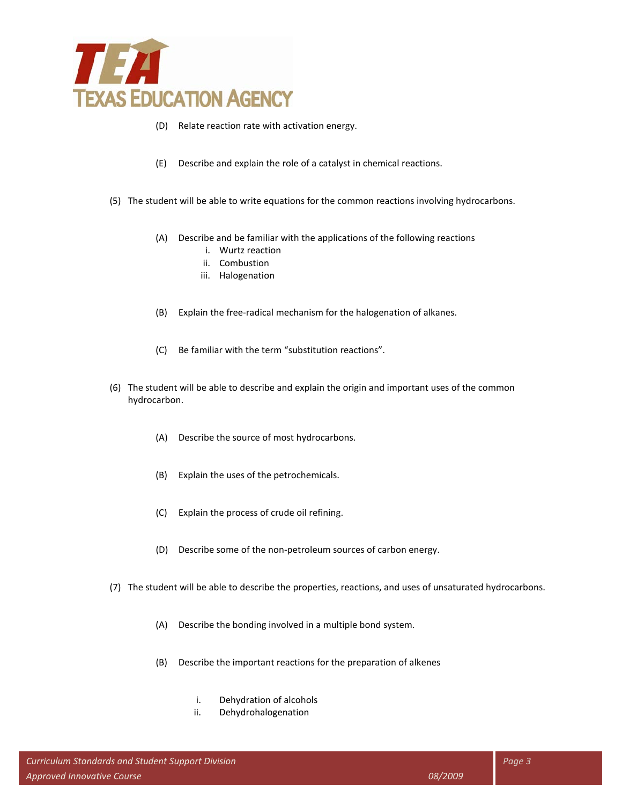

- (D) Relate reaction rate with activation energy.
- (E) Describe and explain the role of a catalyst in chemical reactions.
- (5) The student will be able to write equations for the common reactions involving hydrocarbons.
	- (A) Describe and be familiar with the applications of the following reactions
		- i. Wurtz reaction
		- ii. Combustion
		- iii. Halogenation
	- (B) Explain the free-radical mechanism for the halogenation of alkanes.
	- (C) Be familiar with the term "substitution reactions".
- (6) The student will be able to describe and explain the origin and important uses of the common hydrocarbon.
	- (A) Describe the source of most hydrocarbons.
	- (B) Explain the uses of the petrochemicals.
	- (C) Explain the process of crude oil refining.
	- (D) Describe some of the non-petroleum sources of carbon energy.
- (7) The student will be able to describe the properties, reactions, and uses of unsaturated hydrocarbons.
	- (A) Describe the bonding involved in a multiple bond system.
	- (B) Describe the important reactions for the preparation of alkenes
		- i. Dehydration of alcohols
		- ii. Dehydrohalogenation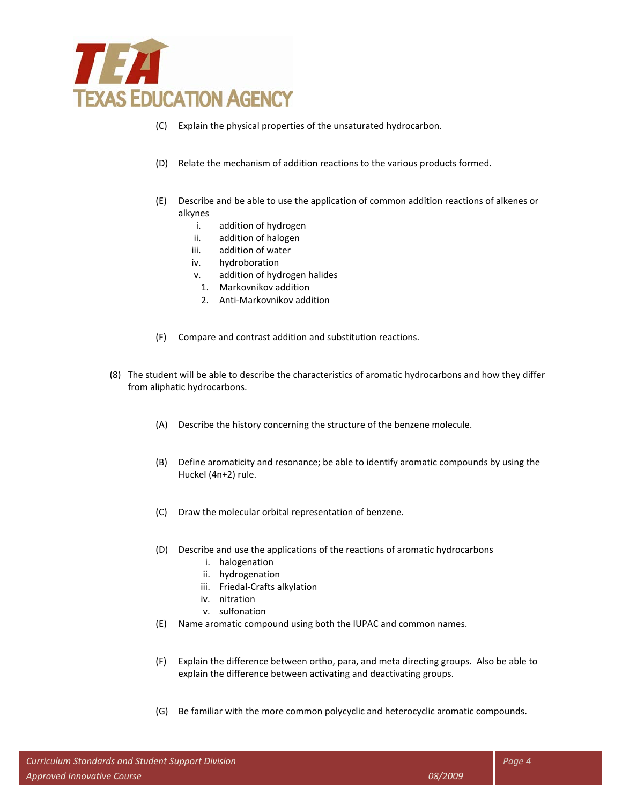

- (C) Explain the physical properties of the unsaturated hydrocarbon.
- (D) Relate the mechanism of addition reactions to the various products formed.
- (E) Describe and be able to use the application of common addition reactions of alkenes or alkynes
	- i. addition of hydrogen
	- ii. addition of halogen
	- iii. addition of water
	- iv. hydroboration
	- v. addition of hydrogen halides
		- 1. Markovnikov addition
		- 2. Anti-Markovnikov addition
- (F) Compare and contrast addition and substitution reactions.
- (8) The student will be able to describe the characteristics of aromatic hydrocarbons and how they differ from aliphatic hydrocarbons.
	- (A) Describe the history concerning the structure of the benzene molecule.
	- (B) Define aromaticity and resonance; be able to identify aromatic compounds by using the Huckel (4n+2) rule.
	- (C) Draw the molecular orbital representation of benzene.
	- (D) Describe and use the applications of the reactions of aromatic hydrocarbons
		- i. halogenation
		- ii. hydrogenation
		- iii. Friedal-Crafts alkylation
		- iv. nitration
		- v. sulfonation
	- (E) Name aromatic compound using both the IUPAC and common names.
	- (F) Explain the difference between ortho, para, and meta directing groups. Also be able to explain the difference between activating and deactivating groups.
	- (G) Be familiar with the more common polycyclic and heterocyclic aromatic compounds.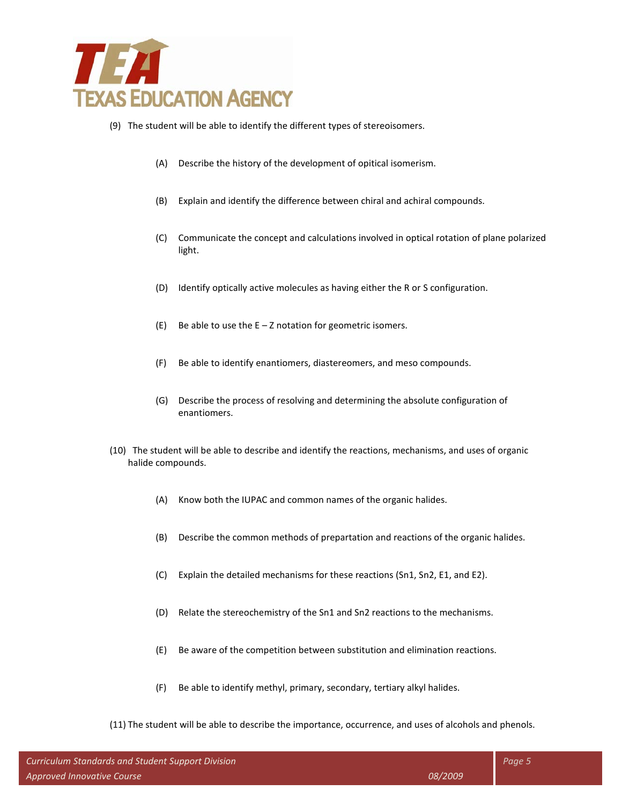

- (9) The student will be able to identify the different types of stereoisomers.
	- (A) Describe the history of the development of opitical isomerism.
	- (B) Explain and identify the difference between chiral and achiral compounds.
	- (C) Communicate the concept and calculations involved in optical rotation of plane polarized light.
	- (D) Identify optically active molecules as having either the R or S configuration.
	- (E) Be able to use the  $E Z$  notation for geometric isomers.
	- (F) Be able to identify enantiomers, diastereomers, and meso compounds.
	- (G) Describe the process of resolving and determining the absolute configuration of enantiomers.
- (10) The student will be able to describe and identify the reactions, mechanisms, and uses of organic halide compounds.
	- (A) Know both the IUPAC and common names of the organic halides.
	- (B) Describe the common methods of prepartation and reactions of the organic halides.
	- (C) Explain the detailed mechanisms for these reactions (Sn1, Sn2, E1, and E2).
	- (D) Relate the stereochemistry of the Sn1 and Sn2 reactions to the mechanisms.
	- (E) Be aware of the competition between substitution and elimination reactions.
	- (F) Be able to identify methyl, primary, secondary, tertiary alkyl halides.
- (11) The student will be able to describe the importance, occurrence, and uses of alcohols and phenols.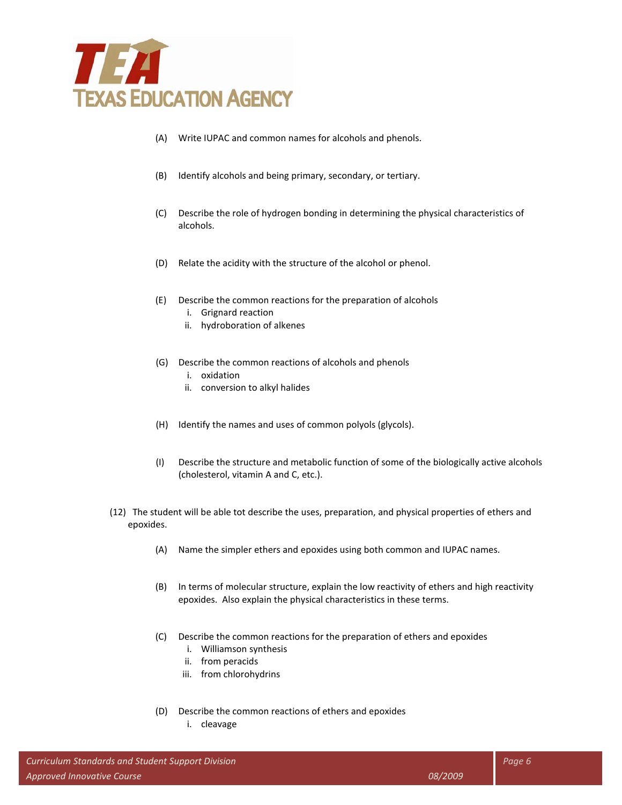

- (A) Write IUPAC and common names for alcohols and phenols.
- (B) Identify alcohols and being primary, secondary, or tertiary.
- (C) Describe the role of hydrogen bonding in determining the physical characteristics of alcohols.
- (D) Relate the acidity with the structure of the alcohol or phenol.
- (E) Describe the common reactions for the preparation of alcohols
	- i. Grignard reaction
	- ii. hydroboration of alkenes
- (G) Describe the common reactions of alcohols and phenols
	- i. oxidation
	- ii. conversion to alkyl halides
- (H) Identify the names and uses of common polyols (glycols).
- (I) Describe the structure and metabolic function of some of the biologically active alcohols (cholesterol, vitamin A and C, etc.).
- (12) The student will be able tot describe the uses, preparation, and physical properties of ethers and epoxides.
	- (A) Name the simpler ethers and epoxides using both common and IUPAC names.
	- (B) In terms of molecular structure, explain the low reactivity of ethers and high reactivity epoxides. Also explain the physical characteristics in these terms.
	- (C) Describe the common reactions for the preparation of ethers and epoxides
		- i. Williamson synthesis
		- ii. from peracids
		- iii. from chlorohydrins
	- (D) Describe the common reactions of ethers and epoxides
		- i. cleavage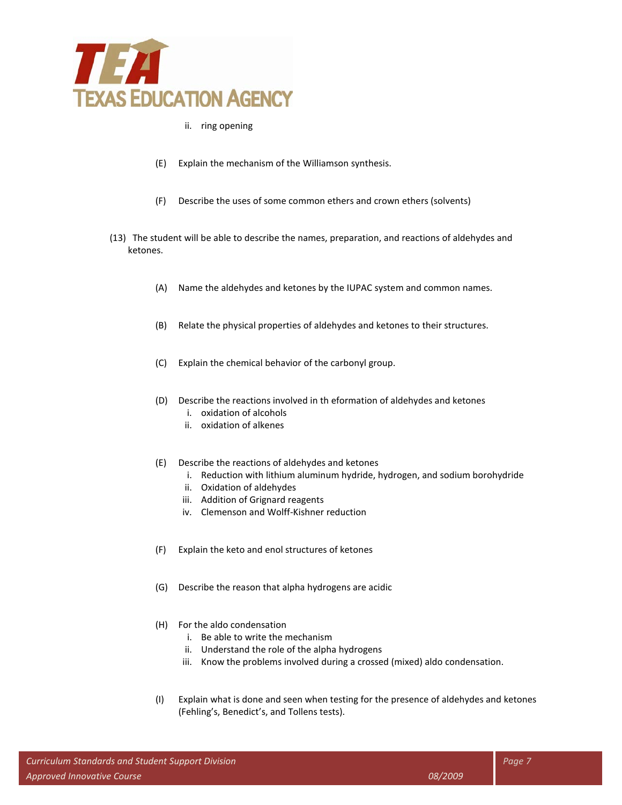

- ii. ring opening
- (E) Explain the mechanism of the Williamson synthesis.
- (F) Describe the uses of some common ethers and crown ethers (solvents)
- (13) The student will be able to describe the names, preparation, and reactions of aldehydes and ketones.
	- (A) Name the aldehydes and ketones by the IUPAC system and common names.
	- (B) Relate the physical properties of aldehydes and ketones to their structures.
	- (C) Explain the chemical behavior of the carbonyl group.
	- (D) Describe the reactions involved in th eformation of aldehydes and ketones
		- i. oxidation of alcohols
		- ii. oxidation of alkenes
	- (E) Describe the reactions of aldehydes and ketones
		- i. Reduction with lithium aluminum hydride, hydrogen, and sodium borohydride
		- ii. Oxidation of aldehydes
		- iii. Addition of Grignard reagents
		- iv. Clemenson and Wolff-Kishner reduction
	- (F) Explain the keto and enol structures of ketones
	- (G) Describe the reason that alpha hydrogens are acidic
	- (H) For the aldo condensation
		- i. Be able to write the mechanism
		- ii. Understand the role of the alpha hydrogens
		- iii. Know the problems involved during a crossed (mixed) aldo condensation.
	- (I) Explain what is done and seen when testing for the presence of aldehydes and ketones (Fehling's, Benedict's, and Tollens tests).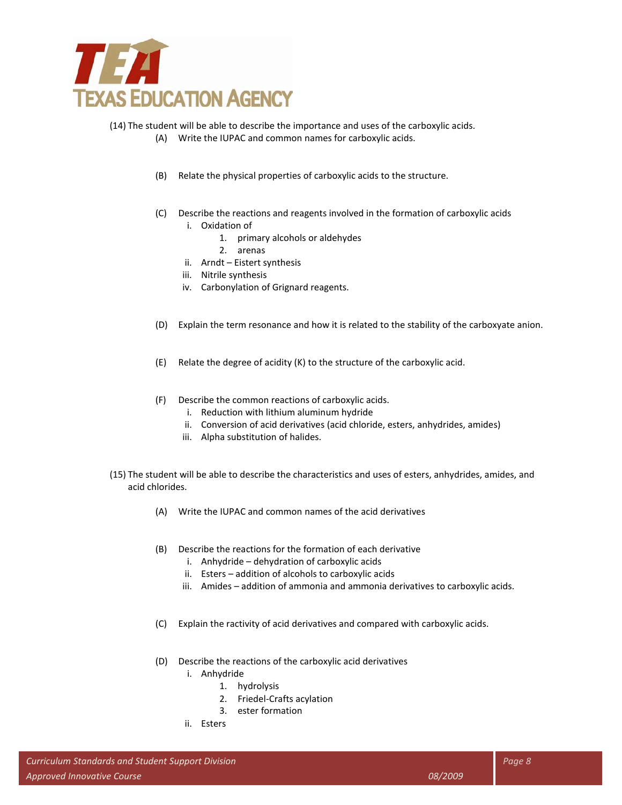

(14) The student will be able to describe the importance and uses of the carboxylic acids.

- (A) Write the IUPAC and common names for carboxylic acids.
- (B) Relate the physical properties of carboxylic acids to the structure.
- (C) Describe the reactions and reagents involved in the formation of carboxylic acids
	- i. Oxidation of
		- 1. primary alcohols or aldehydes
		- 2. arenas
	- ii. Arndt Eistert synthesis
	- iii. Nitrile synthesis
	- iv. Carbonylation of Grignard reagents.
- (D) Explain the term resonance and how it is related to the stability of the carboxyate anion.
- (E) Relate the degree of acidity (K) to the structure of the carboxylic acid.
- (F) Describe the common reactions of carboxylic acids.
	- i. Reduction with lithium aluminum hydride
	- ii. Conversion of acid derivatives (acid chloride, esters, anhydrides, amides)
	- iii. Alpha substitution of halides.
- (15) The student will be able to describe the characteristics and uses of esters, anhydrides, amides, and acid chlorides.
	- (A) Write the IUPAC and common names of the acid derivatives
	- (B) Describe the reactions for the formation of each derivative
		- i. Anhydride dehydration of carboxylic acids
		- ii. Esters addition of alcohols to carboxylic acids
		- iii. Amides addition of ammonia and ammonia derivatives to carboxylic acids.
	- (C) Explain the ractivity of acid derivatives and compared with carboxylic acids.
	- (D) Describe the reactions of the carboxylic acid derivatives
		- i. Anhydride
			- 1. hydrolysis
			- 2. Friedel-Crafts acylation
			- 3. ester formation
		- ii. Esters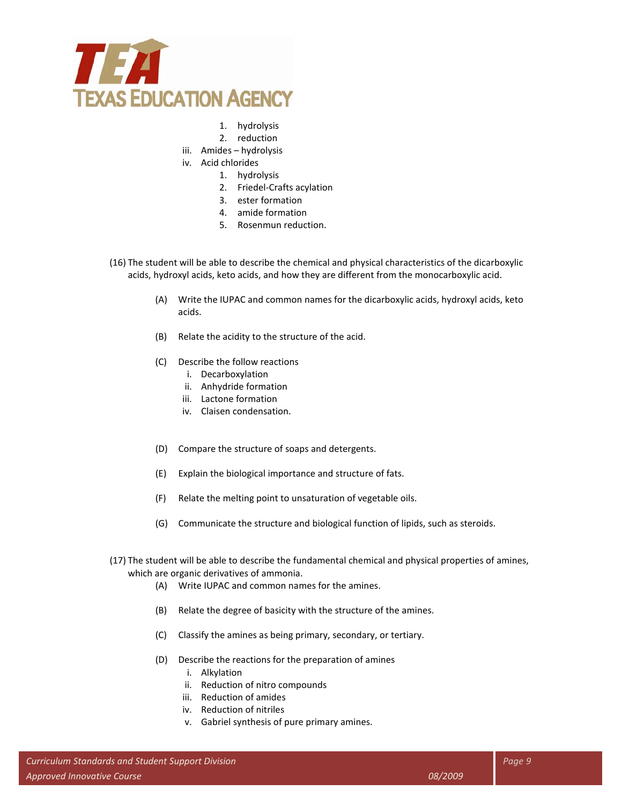

- 1. hydrolysis
- 2. reduction
- iii. Amides hydrolysis
- iv. Acid chlorides
	- 1. hydrolysis
	- 2. Friedel-Crafts acylation
	- 3. ester formation
	- 4. amide formation
	- 5. Rosenmun reduction.
- (16) The student will be able to describe the chemical and physical characteristics of the dicarboxylic acids, hydroxyl acids, keto acids, and how they are different from the monocarboxylic acid.
	- (A) Write the IUPAC and common names for the dicarboxylic acids, hydroxyl acids, keto acids.
	- (B) Relate the acidity to the structure of the acid.
	- (C) Describe the follow reactions
		- i. Decarboxylation
		- ii. Anhydride formation
		- iii. Lactone formation
		- iv. Claisen condensation.
	- (D) Compare the structure of soaps and detergents.
	- (E) Explain the biological importance and structure of fats.
	- (F) Relate the melting point to unsaturation of vegetable oils.
	- (G) Communicate the structure and biological function of lipids, such as steroids.
- (17) The student will be able to describe the fundamental chemical and physical properties of amines, which are organic derivatives of ammonia.
	- (A) Write IUPAC and common names for the amines.
	- (B) Relate the degree of basicity with the structure of the amines.
	- (C) Classify the amines as being primary, secondary, or tertiary.
	- (D) Describe the reactions for the preparation of amines
		- i. Alkylation
		- ii. Reduction of nitro compounds
		- iii. Reduction of amides
		- iv. Reduction of nitriles
		- v. Gabriel synthesis of pure primary amines.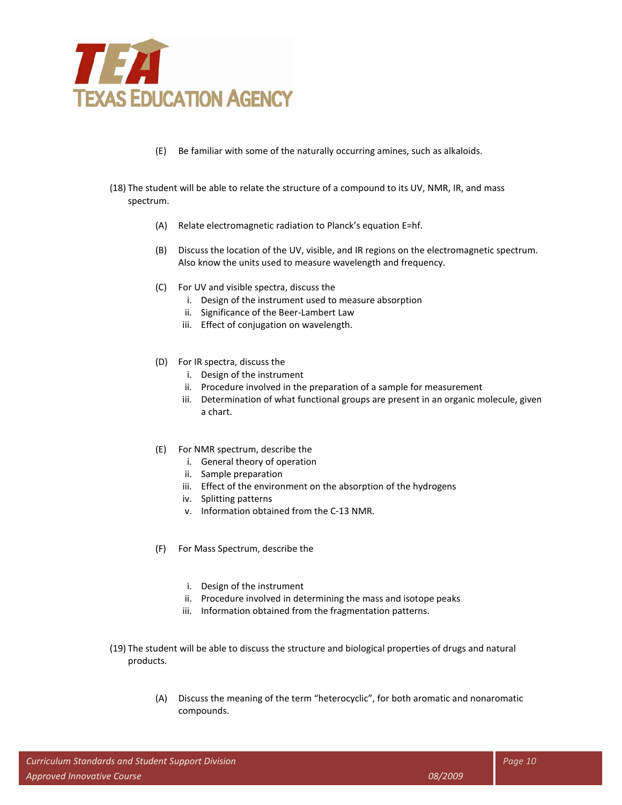

- (E) Be familiar with some of the naturally occurring amines, such as alkaloids.
- (18) The student will be able to relate the structure of a compound to its UV, NMR, IR, and mass spectrum.
	- (A) Relate electromagnetic radiation to Planck's equation E=hf.
	- (B) Discuss the location of the UV, visible, and IR regions on the electromagnetic spectrum. Also know the units used to measure wavelength and frequency.
	- (C) For UV and visible spectra, discuss the
		- i. Design of the instrument used to measure absorption
		- ii. Significance of the Beer-Lambert Law
		- iii. Effect of conjugation on wavelength.
	- (D) For IR spectra, discuss the
		- i. Design of the instrument
		- ii. Procedure involved in the preparation of a sample for measurement
		- iii. Determination of what functional groups are present in an organic molecule, given a chart.
	- (E) For NMR spectrum, describe the
		- i. General theory of operation
		- ii. Sample preparation
		- iii. Effect of the environment on the absorption of the hydrogens
		- iv. Splitting patterns
		- v. Information obtained from the C-13 NMR.
	- (F) For Mass Spectrum, describe the
		- i. Design of the instrument
		- ii. Procedure involved in determining the mass and isotope peaks
		- iii. Information obtained from the fragmentation patterns.
- (19) The student will be able to discuss the structure and biological properties of drugs and natural products.
	- (A) Discuss the meaning of the term "heterocyclic", for both aromatic and nonaromatic compounds.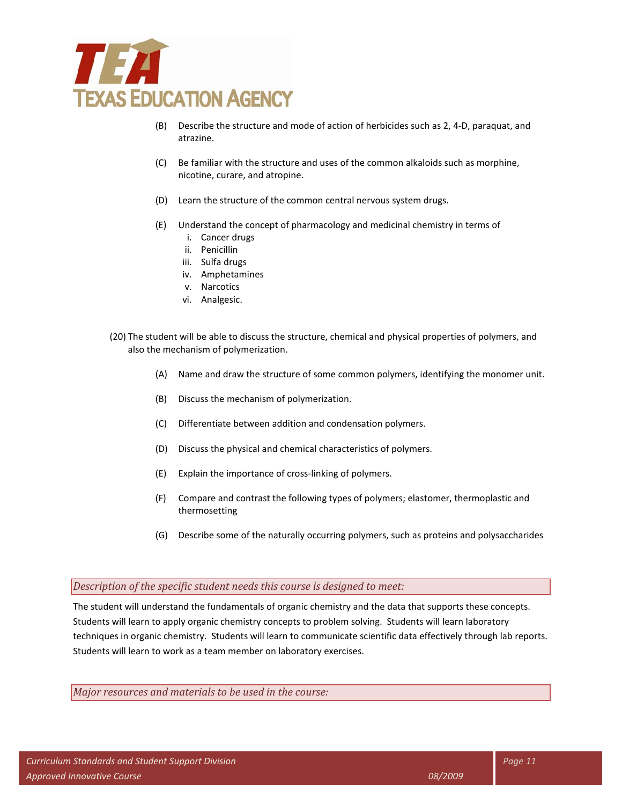

- (B) Describe the structure and mode of action of herbicides such as 2, 4-D, paraquat, and atrazine.
- (C) Be familiar with the structure and uses of the common alkaloids such as morphine, nicotine, curare, and atropine.
- (D) Learn the structure of the common central nervous system drugs.
- (E) Understand the concept of pharmacology and medicinal chemistry in terms of
	- i. Cancer drugs
	- ii. Penicillin
	- iii. Sulfa drugs
	- iv. Amphetamines
	- v. Narcotics
	- vi. Analgesic.
- (20) The student will be able to discuss the structure, chemical and physical properties of polymers, and also the mechanism of polymerization.
	- (A) Name and draw the structure of some common polymers, identifying the monomer unit.
	- (B) Discuss the mechanism of polymerization.
	- (C) Differentiate between addition and condensation polymers.
	- (D) Discuss the physical and chemical characteristics of polymers.
	- (E) Explain the importance of cross-linking of polymers.
	- (F) Compare and contrast the following types of polymers; elastomer, thermoplastic and thermosetting
	- (G) Describe some of the naturally occurring polymers, such as proteins and polysaccharides

#### *Description of the specific student needs this course is designed to meet:*

The student will understand the fundamentals of organic chemistry and the data that supports these concepts. Students will learn to apply organic chemistry concepts to problem solving. Students will learn laboratory techniques in organic chemistry. Students will learn to communicate scientific data effectively through lab reports. Students will learn to work as a team member on laboratory exercises.

*Major resources and materials to be used in the course:*